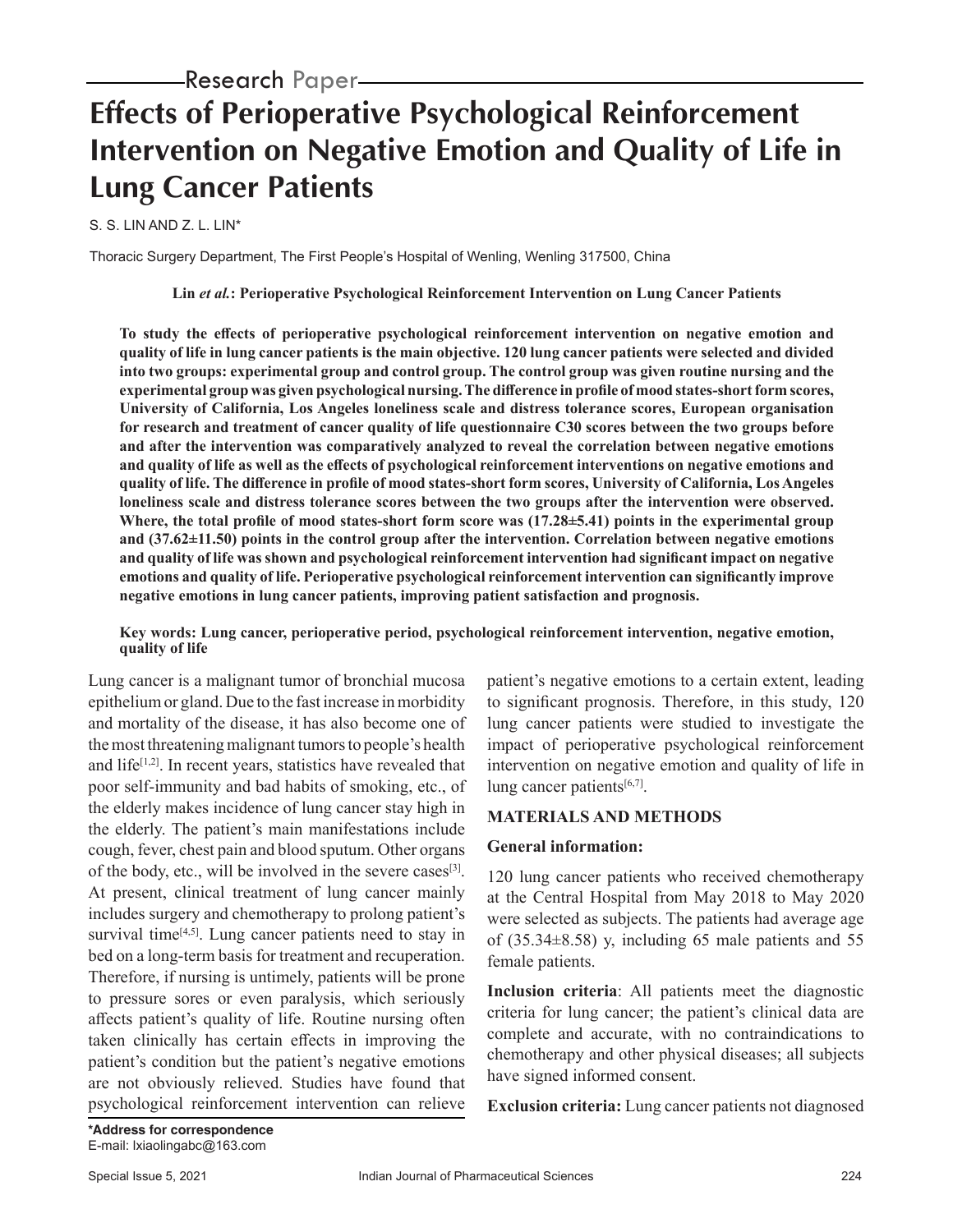# **Effects of Perioperative Psychological Reinforcement Intervention on Negative Emotion and Quality of Life in Lung Cancer Patients**

S. S. LIN AND Z. L. LIN\*

Thoracic Surgery Department, The First People's Hospital of Wenling, Wenling 317500, China

**Lin** *et al.***: Perioperative Psychological Reinforcement Intervention on Lung Cancer Patients**

**To study the effects of perioperative psychological reinforcement intervention on negative emotion and quality of life in lung cancer patients is the main objective. 120 lung cancer patients were selected and divided into two groups: experimental group and control group. The control group was given routine nursing and the experimental group was given psychological nursing. The difference in profile of mood states-short form scores, University of California, Los Angeles loneliness scale and distress tolerance scores, European organisation for research and treatment of cancer quality of life questionnaire C30 scores between the two groups before and after the intervention was comparatively analyzed to reveal the correlation between negative emotions and quality of life as well as the effects of psychological reinforcement interventions on negative emotions and quality of life. The difference in profile of mood states-short form scores, University of California, Los Angeles loneliness scale and distress tolerance scores between the two groups after the intervention were observed. Where, the total profile of mood states-short form score was (17.28±5.41) points in the experimental group and (37.62±11.50) points in the control group after the intervention. Correlation between negative emotions and quality of life was shown and psychological reinforcement intervention had significant impact on negative emotions and quality of life. Perioperative psychological reinforcement intervention can significantly improve negative emotions in lung cancer patients, improving patient satisfaction and prognosis.**

#### **Key words: Lung cancer, perioperative period, psychological reinforcement intervention, negative emotion, quality of life**

Lung cancer is a malignant tumor of bronchial mucosa epithelium or gland. Due to the fast increase in morbidity and mortality of the disease, it has also become one of the most threatening malignant tumors to people's health and life<sup>[1,2]</sup>. In recent years, statistics have revealed that poor self-immunity and bad habits of smoking, etc., of the elderly makes incidence of lung cancer stay high in the elderly. The patient's main manifestations include cough, fever, chest pain and blood sputum. Other organs of the body, etc., will be involved in the severe cases<sup>[3]</sup>. At present, clinical treatment of lung cancer mainly includes surgery and chemotherapy to prolong patient's survival time $[4,5]$ . Lung cancer patients need to stay in bed on a long-term basis for treatment and recuperation. Therefore, if nursing is untimely, patients will be prone to pressure sores or even paralysis, which seriously affects patient's quality of life. Routine nursing often taken clinically has certain effects in improving the patient's condition but the patient's negative emotions are not obviously relieved. Studies have found that psychological reinforcement intervention can relieve

patient's negative emotions to a certain extent, leading to significant prognosis. Therefore, in this study, 120 lung cancer patients were studied to investigate the impact of perioperative psychological reinforcement intervention on negative emotion and quality of life in lung cancer patients<sup>[6,7]</sup>.

# **MATERIALS AND METHODS**

# **General information:**

120 lung cancer patients who received chemotherapy at the Central Hospital from May 2018 to May 2020 were selected as subjects. The patients had average age of  $(35.34\pm8.58)$  y, including 65 male patients and 55 female patients.

**Inclusion criteria**: All patients meet the diagnostic criteria for lung cancer; the patient's clinical data are complete and accurate, with no contraindications to chemotherapy and other physical diseases; all subjects have signed informed consent.

**Exclusion criteria:** Lung cancer patients not diagnosed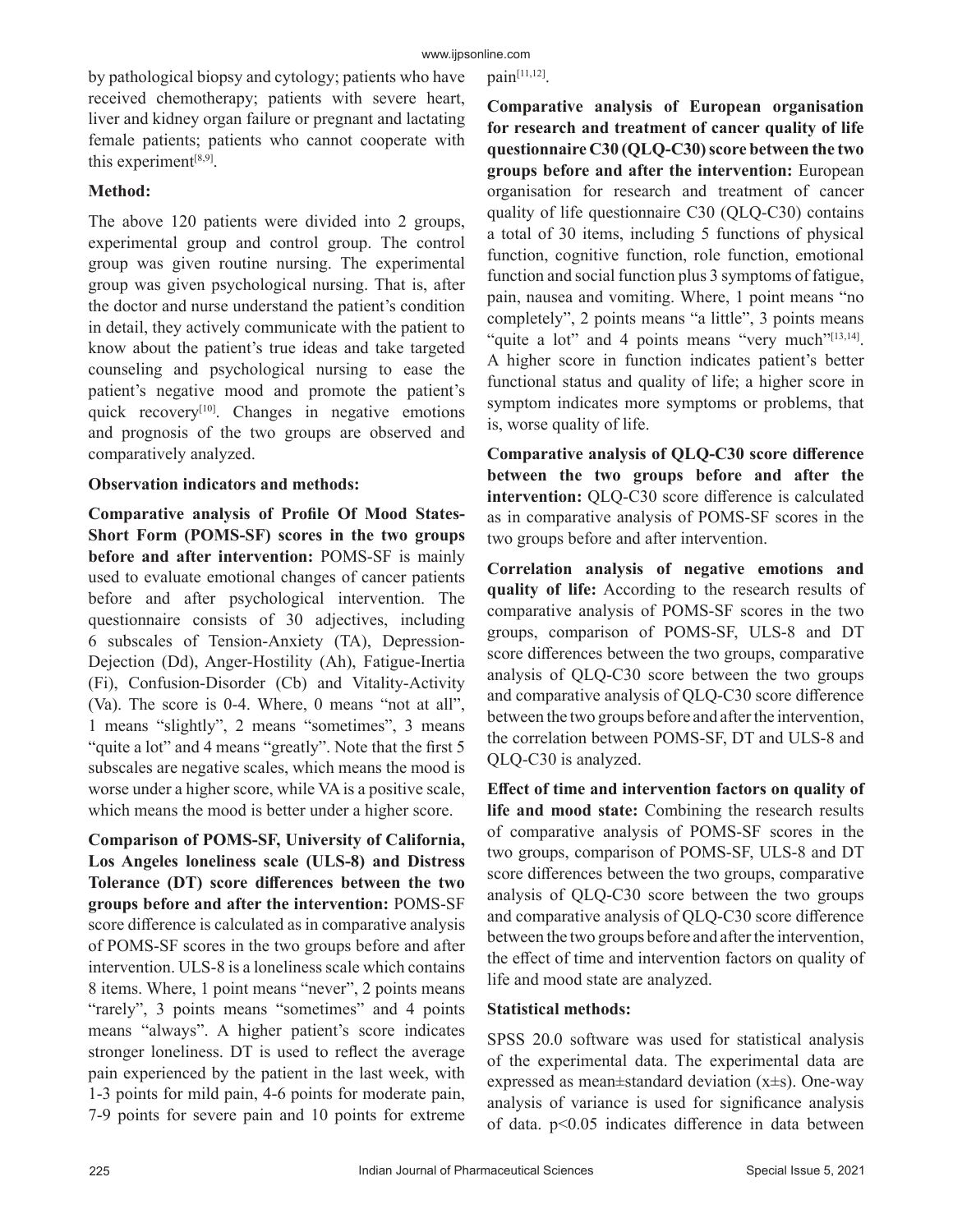by pathological biopsy and cytology; patients who have received chemotherapy; patients with severe heart, liver and kidney organ failure or pregnant and lactating female patients; patients who cannot cooperate with this experiment<sup>[8,9]</sup>.

# **Method:**

The above 120 patients were divided into 2 groups, experimental group and control group. The control group was given routine nursing. The experimental group was given psychological nursing. That is, after the doctor and nurse understand the patient's condition in detail, they actively communicate with the patient to know about the patient's true ideas and take targeted counseling and psychological nursing to ease the patient's negative mood and promote the patient's quick recovery<sup>[10]</sup>. Changes in negative emotions and prognosis of the two groups are observed and comparatively analyzed.

## **Observation indicators and methods:**

**Comparative analysis of Profile Of Mood States-Short Form (POMS-SF) scores in the two groups before and after intervention:** POMS-SF is mainly used to evaluate emotional changes of cancer patients before and after psychological intervention. The questionnaire consists of 30 adjectives, including 6 subscales of Tension-Anxiety (TA), Depression-Dejection (Dd), Anger-Hostility (Ah), Fatigue-Inertia (Fi), Confusion-Disorder (Cb) and Vitality-Activity (Va). The score is 0-4. Where, 0 means "not at all", 1 means "slightly", 2 means "sometimes", 3 means "quite a lot" and 4 means "greatly". Note that the first 5 subscales are negative scales, which means the mood is worse under a higher score, while VA is a positive scale, which means the mood is better under a higher score.

**Comparison of POMS-SF, University of California, Los Angeles loneliness scale (ULS-8) and Distress Tolerance (DT) score differences between the two groups before and after the intervention:** POMS-SF score difference is calculated as in comparative analysis of POMS-SF scores in the two groups before and after intervention. ULS-8 is a loneliness scale which contains 8 items. Where, 1 point means "never", 2 points means "rarely", 3 points means "sometimes" and 4 points means "always". A higher patient's score indicates stronger loneliness. DT is used to reflect the average pain experienced by the patient in the last week, with 1-3 points for mild pain, 4-6 points for moderate pain, 7-9 points for severe pain and 10 points for extreme pain[11,12].

**Comparative analysis of European organisation for research and treatment of cancer quality of life questionnaire C30 (QLQ-C30) score between the two groups before and after the intervention:** European organisation for research and treatment of cancer quality of life questionnaire C30 (QLQ-C30) contains a total of 30 items, including 5 functions of physical function, cognitive function, role function, emotional function and social function plus 3 symptoms of fatigue, pain, nausea and vomiting. Where, 1 point means "no completely", 2 points means "a little", 3 points means "quite a lot" and 4 points means "very much"<sup>[13,14]</sup>. A higher score in function indicates patient's better functional status and quality of life; a higher score in symptom indicates more symptoms or problems, that is, worse quality of life.

**Comparative analysis of QLQ-C30 score difference between the two groups before and after the intervention:** QLQ-C30 score difference is calculated as in comparative analysis of POMS-SF scores in the two groups before and after intervention.

**Correlation analysis of negative emotions and quality of life:** According to the research results of comparative analysis of POMS-SF scores in the two groups, comparison of POMS-SF, ULS-8 and DT score differences between the two groups, comparative analysis of QLQ-C30 score between the two groups and comparative analysis of QLQ-C30 score difference between the two groups before and after the intervention, the correlation between POMS-SF, DT and ULS-8 and QLQ-C30 is analyzed.

**Effect of time and intervention factors on quality of life and mood state:** Combining the research results of comparative analysis of POMS-SF scores in the two groups, comparison of POMS-SF, ULS-8 and DT score differences between the two groups, comparative analysis of QLQ-C30 score between the two groups and comparative analysis of QLQ-C30 score difference between the two groups before and after the intervention, the effect of time and intervention factors on quality of life and mood state are analyzed.

# **Statistical methods:**

SPSS 20.0 software was used for statistical analysis of the experimental data. The experimental data are expressed as mean±standard deviation (x±s). One-way analysis of variance is used for significance analysis of data. p<0.05 indicates difference in data between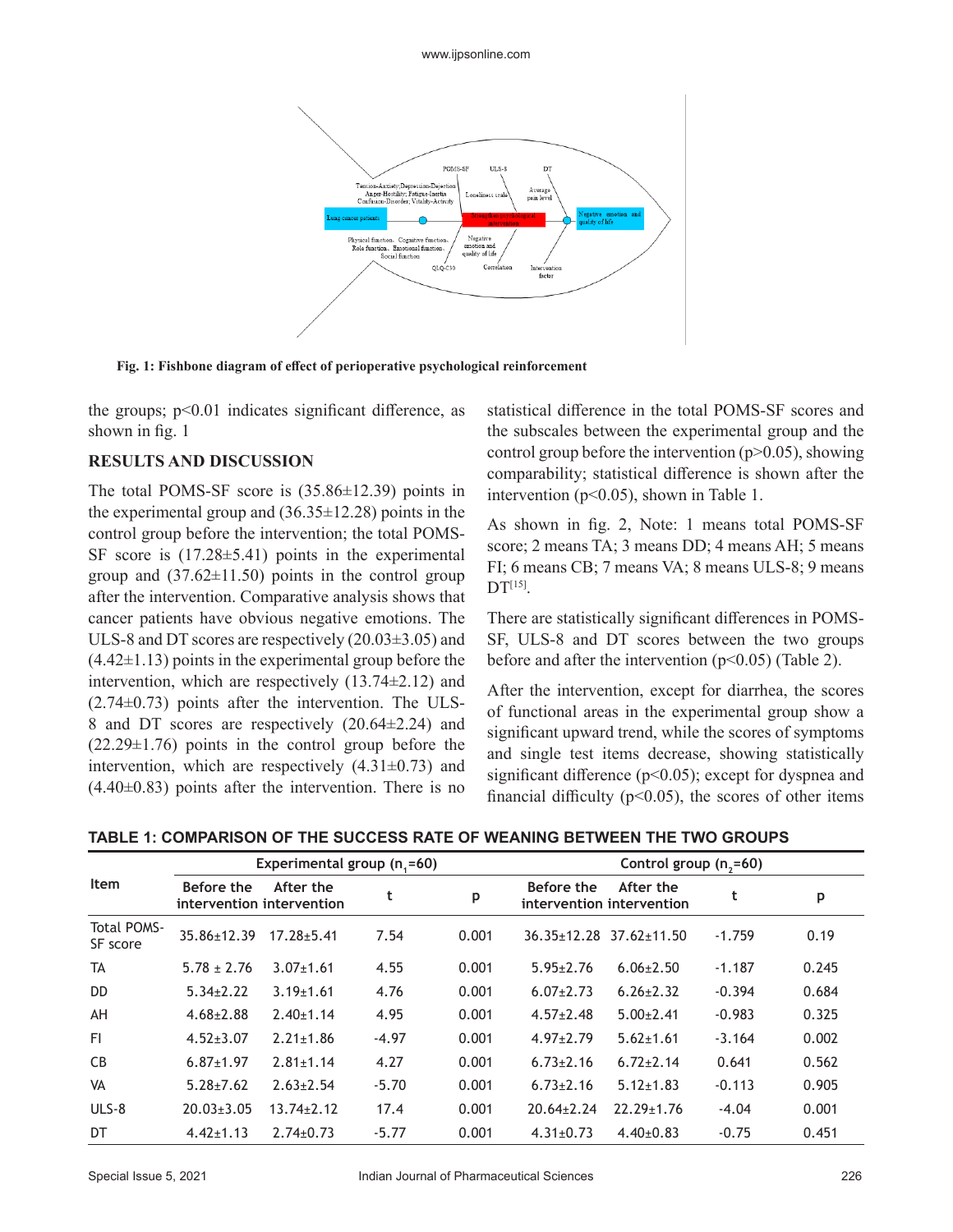

**Fig. 1: Fishbone diagram of effect of perioperative psychological reinforcement**

the groups;  $p<0.01$  indicates significant difference, as shown in fig. 1

#### **RESULTS AND DISCUSSION**

The total POMS-SF score is (35.86±12.39) points in the experimental group and  $(36.35 \pm 12.28)$  points in the control group before the intervention; the total POMS-SF score is  $(17.28 \pm 5.41)$  points in the experimental group and  $(37.62 \pm 11.50)$  points in the control group after the intervention. Comparative analysis shows that cancer patients have obvious negative emotions. The ULS-8 and DT scores are respectively (20.03±3.05) and  $(4.42\pm1.13)$  points in the experimental group before the intervention, which are respectively (13.74±2.12) and  $(2.74\pm0.73)$  points after the intervention. The ULS-8 and DT scores are respectively (20.64±2.24) and  $(22.29\pm1.76)$  points in the control group before the intervention, which are respectively  $(4.31\pm0.73)$  and  $(4.40\pm0.83)$  points after the intervention. There is no statistical difference in the total POMS-SF scores and the subscales between the experimental group and the control group before the intervention  $(p>0.05)$ , showing comparability; statistical difference is shown after the intervention ( $p<0.05$ ), shown in Table 1.

As shown in fig. 2, Note: 1 means total POMS-SF score; 2 means TA; 3 means DD; 4 means AH; 5 means FI; 6 means CB; 7 means VA; 8 means ULS-8; 9 means  $DT^{[15]}$ .

There are statistically significant differences in POMS-SF, ULS-8 and DT scores between the two groups before and after the intervention  $(p<0.05)$  (Table 2).

After the intervention, except for diarrhea, the scores of functional areas in the experimental group show a significant upward trend, while the scores of symptoms and single test items decrease, showing statistically significant difference ( $p<0.05$ ); except for dyspnea and financial difficulty ( $p$ <0.05), the scores of other items

| TABLE 1: COMPARISON OF THE SUCCESS RATE OF WEANING BETWEEN THE TWO GROUPS |
|---------------------------------------------------------------------------|
|---------------------------------------------------------------------------|

|                                |                                         | Experimental group $(n,=60)$ |         |       | Control group $(n,=60)$ |                                        |          |       |  |  |
|--------------------------------|-----------------------------------------|------------------------------|---------|-------|-------------------------|----------------------------------------|----------|-------|--|--|
| <b>Item</b>                    | Before the<br>intervention intervention | After the                    |         | p     | Before the              | After the<br>intervention intervention | t        | p     |  |  |
| <b>Total POMS-</b><br>SF score | 35.86±12.39                             | $17.28 + 5.41$               | 7.54    | 0.001 |                         | $36.35 \pm 12.28$ $37.62 \pm 11.50$    | $-1.759$ | 0.19  |  |  |
| TA                             | $5.78 \pm 2.76$                         | $3.07 \pm 1.61$              | 4.55    | 0.001 | $5.95 \pm 2.76$         | $6.06 \pm 2.50$                        | $-1.187$ | 0.245 |  |  |
| DD.                            | $5.34 \pm 2.22$                         | $3.19 \pm 1.61$              | 4.76    | 0.001 | $6.07 \pm 2.73$         | $6.26 \pm 2.32$                        | $-0.394$ | 0.684 |  |  |
| AH                             | $4.68 \pm 2.88$                         | $2.40+1.14$                  | 4.95    | 0.001 | $4.57 \pm 2.48$         | $5.00+2.41$                            | $-0.983$ | 0.325 |  |  |
| FI.                            | $4.52 \pm 3.07$                         | $2.21 \pm 1.86$              | $-4.97$ | 0.001 | $4.97 \pm 2.79$         | $5.62 \pm 1.61$                        | $-3.164$ | 0.002 |  |  |
| <b>CB</b>                      | $6.87 \pm 1.97$                         | $2.81 \pm 1.14$              | 4.27    | 0.001 | $6.73 \pm 2.16$         | $6.72 \pm 2.14$                        | 0.641    | 0.562 |  |  |
| <b>VA</b>                      | $5.28 + 7.62$                           | $2.63 \pm 2.54$              | $-5.70$ | 0.001 | $6.73 \pm 2.16$         | $5.12 \pm 1.83$                        | $-0.113$ | 0.905 |  |  |
| $ULS-8$                        | $20.03 \pm 3.05$                        | $13.74 \pm 2.12$             | 17.4    | 0.001 | $20.64 \pm 2.24$        | $22.29 \pm 1.76$                       | $-4.04$  | 0.001 |  |  |
| DT                             | $4.42 \pm 1.13$                         | $2.74 \pm 0.73$              | $-5.77$ | 0.001 | $4.31 \pm 0.73$         | $4.40\pm0.83$                          | $-0.75$  | 0.451 |  |  |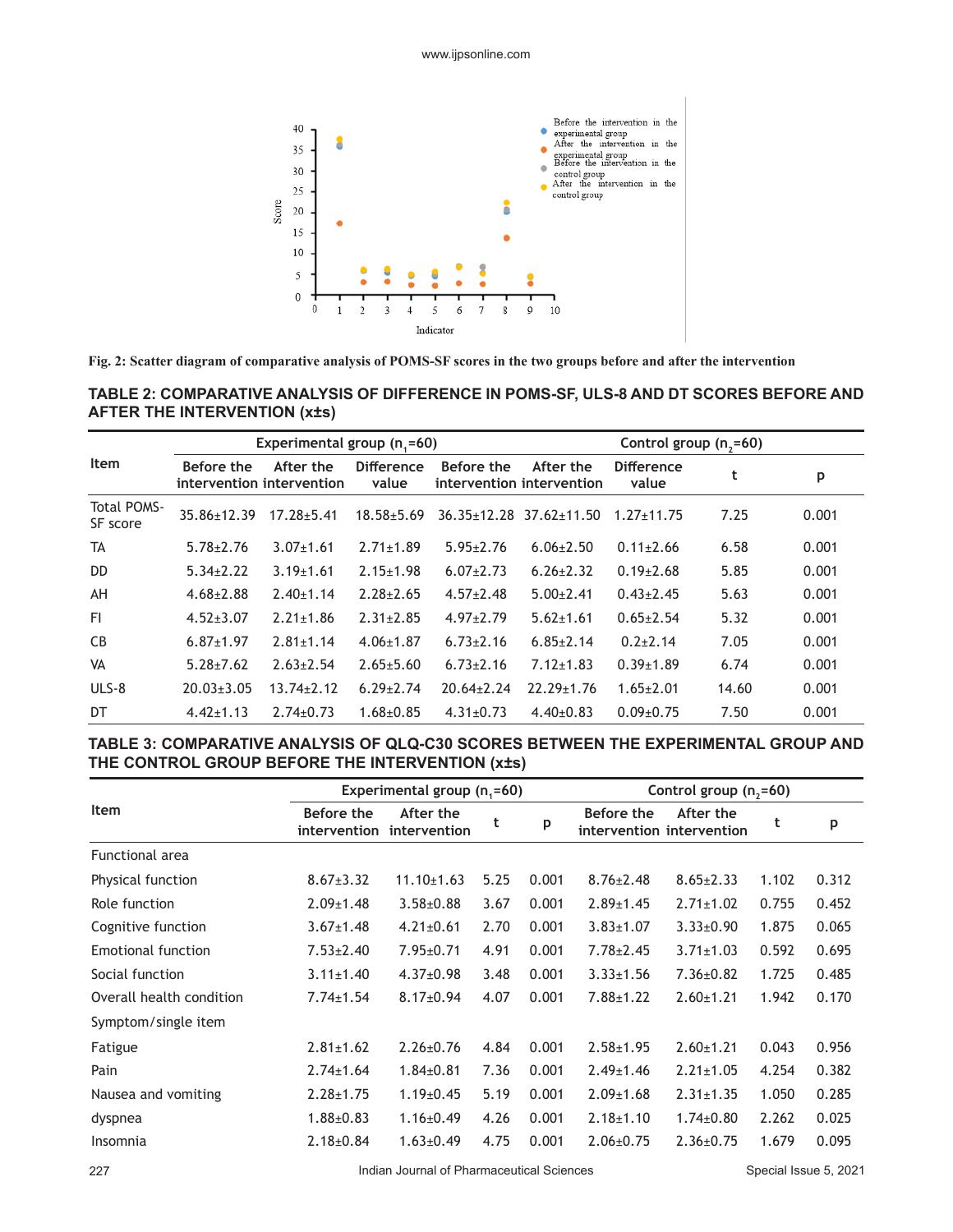

**Fig. 2: Scatter diagram of comparative analysis of POMS-SF scores in the two groups before and after the intervention**

## **TABLE 2: COMPARATIVE ANALYSIS OF DIFFERENCE IN POMS-SF, ULS-8 AND DT SCORES BEFORE AND AFTER THE INTERVENTION (x±s)**

|                                |                  | Experimental group $(n_1=60)$          |                            |                  |                                        | Control group (n <sub>2</sub> =60) |       |       |
|--------------------------------|------------------|----------------------------------------|----------------------------|------------------|----------------------------------------|------------------------------------|-------|-------|
| Item                           | Before the       | After the<br>intervention intervention | <b>Difference</b><br>value | Before the       | After the<br>intervention intervention | <b>Difference</b><br>value         | t     | p     |
| <b>Total POMS-</b><br>SF score | 35.86±12.39      | $17.28 + 5.41$                         | $18.58 + 5.69$             |                  | $36.35 \pm 12.28$ $37.62 \pm 11.50$    | $1.27 \pm 11.75$                   | 7.25  | 0.001 |
| TA                             | $5.78 \pm 2.76$  | $3.07 + 1.61$                          | $2.71 \pm 1.89$            | $5.95 \pm 2.76$  | $6.06 \pm 2.50$                        | $0.11 \pm 2.66$                    | 6.58  | 0.001 |
| DD.                            | $5.34 \pm 2.22$  | $3.19 \pm 1.61$                        | $2.15 \pm 1.98$            | $6.07 \pm 2.73$  | $6.26 \pm 2.32$                        | $0.19 \pm 2.68$                    | 5.85  | 0.001 |
| AH                             | $4.68 \pm 2.88$  | $2.40 \pm 1.14$                        | $2.28 + 2.65$              | $4.57 \pm 2.48$  | $5.00+2.41$                            | $0.43 \pm 2.45$                    | 5.63  | 0.001 |
| FI.                            | $4.52 \pm 3.07$  | $2.21 \pm 1.86$                        | $2.31 \pm 2.85$            | $4.97+2.79$      | $5.62 \pm 1.61$                        | $0.65 \pm 2.54$                    | 5.32  | 0.001 |
| C <sub>B</sub>                 | $6.87 \pm 1.97$  | $2.81 \pm 1.14$                        | $4.06 \pm 1.87$            | $6.73 \pm 2.16$  | $6.85 \pm 2.14$                        | $0.2 + 2.14$                       | 7.05  | 0.001 |
| <b>VA</b>                      | $5.28 + 7.62$    | $2.63 \pm 2.54$                        | $2.65 \pm 5.60$            | $6.73 \pm 2.16$  | $7.12 \pm 1.83$                        | $0.39 + 1.89$                      | 6.74  | 0.001 |
| $ULS-8$                        | $20.03 \pm 3.05$ | $13.74 \pm 2.12$                       | $6.29 + 2.74$              | $20.64 \pm 2.24$ | $22.29 \pm 1.76$                       | $1.65 \pm 2.01$                    | 14.60 | 0.001 |
| DT                             | $4.42 \pm 1.13$  | $2.74 \pm 0.73$                        | $1.68 \pm 0.85$            | $4.31 \pm 0.73$  | $4.40\pm0.83$                          | $0.09 \pm 0.75$                    | 7.50  | 0.001 |

### **TABLE 3: COMPARATIVE ANALYSIS OF QLQ-C30 SCORES BETWEEN THE EXPERIMENTAL GROUP AND THE CONTROL GROUP BEFORE THE INTERVENTION (x±s)**

|                           |                            | Experimental group (n <sub>1</sub> =60) |      |       | Control group (n <sub>2</sub> =60) |                                        |       |       |  |
|---------------------------|----------------------------|-----------------------------------------|------|-------|------------------------------------|----------------------------------------|-------|-------|--|
| <b>Item</b>               | Before the<br>intervention | After the<br>intervention               | t    | p     | Before the                         | After the<br>intervention intervention | t     | p     |  |
| <b>Functional area</b>    |                            |                                         |      |       |                                    |                                        |       |       |  |
| Physical function         | $8.67 \pm 3.32$            | $11.10 \pm 1.63$                        | 5.25 | 0.001 | $8.76 \pm 2.48$                    | $8.65 \pm 2.33$                        | 1.102 | 0.312 |  |
| Role function             | $2.09 \pm 1.48$            | $3.58 + 0.88$                           | 3.67 | 0.001 | $2.89 \pm 1.45$                    | $2.71 \pm 1.02$                        | 0.755 | 0.452 |  |
| Cognitive function        | $3.67 \pm 1.48$            | $4.21 \pm 0.61$                         | 2.70 | 0.001 | $3.83 \pm 1.07$                    | $3.33 \pm 0.90$                        | 1.875 | 0.065 |  |
| <b>Emotional function</b> | $7.53 \pm 2.40$            | $7.95 \pm 0.71$                         | 4.91 | 0.001 | $7.78 \pm 2.45$                    | $3.71 \pm 1.03$                        | 0.592 | 0.695 |  |
| Social function           | $3.11 \pm 1.40$            | $4.37 \pm 0.98$                         | 3.48 | 0.001 | $3.33 \pm 1.56$                    | $7.36 \pm 0.82$                        | 1.725 | 0.485 |  |
| Overall health condition  | $7.74 \pm 1.54$            | $8.17 \pm 0.94$                         | 4.07 | 0.001 | $7.88 \pm 1.22$                    | $2.60 \pm 1.21$                        | 1.942 | 0.170 |  |
| Symptom/single item       |                            |                                         |      |       |                                    |                                        |       |       |  |
| Fatigue                   | $2.81 \pm 1.62$            | $2.26 \pm 0.76$                         | 4.84 | 0.001 | $2.58 + 1.95$                      | $2.60 \pm 1.21$                        | 0.043 | 0.956 |  |
| Pain                      | $2.74 \pm 1.64$            | $1.84 \pm 0.81$                         | 7.36 | 0.001 | $2.49 \pm 1.46$                    | $2.21 \pm 1.05$                        | 4.254 | 0.382 |  |
| Nausea and vomiting       | $2.28 \pm 1.75$            | $1.19 \pm 0.45$                         | 5.19 | 0.001 | $2.09 \pm 1.68$                    | $2.31 \pm 1.35$                        | 1.050 | 0.285 |  |
| dyspnea                   | $1.88 \pm 0.83$            | $1.16 \pm 0.49$                         | 4.26 | 0.001 | $2.18 \pm 1.10$                    | $1.74 \pm 0.80$                        | 2.262 | 0.025 |  |
| Insomnia                  | $2.18 \pm 0.84$            | $1.63 \pm 0.49$                         | 4.75 | 0.001 | $2.06 \pm 0.75$                    | $2.36 \pm 0.75$                        | 1.679 | 0.095 |  |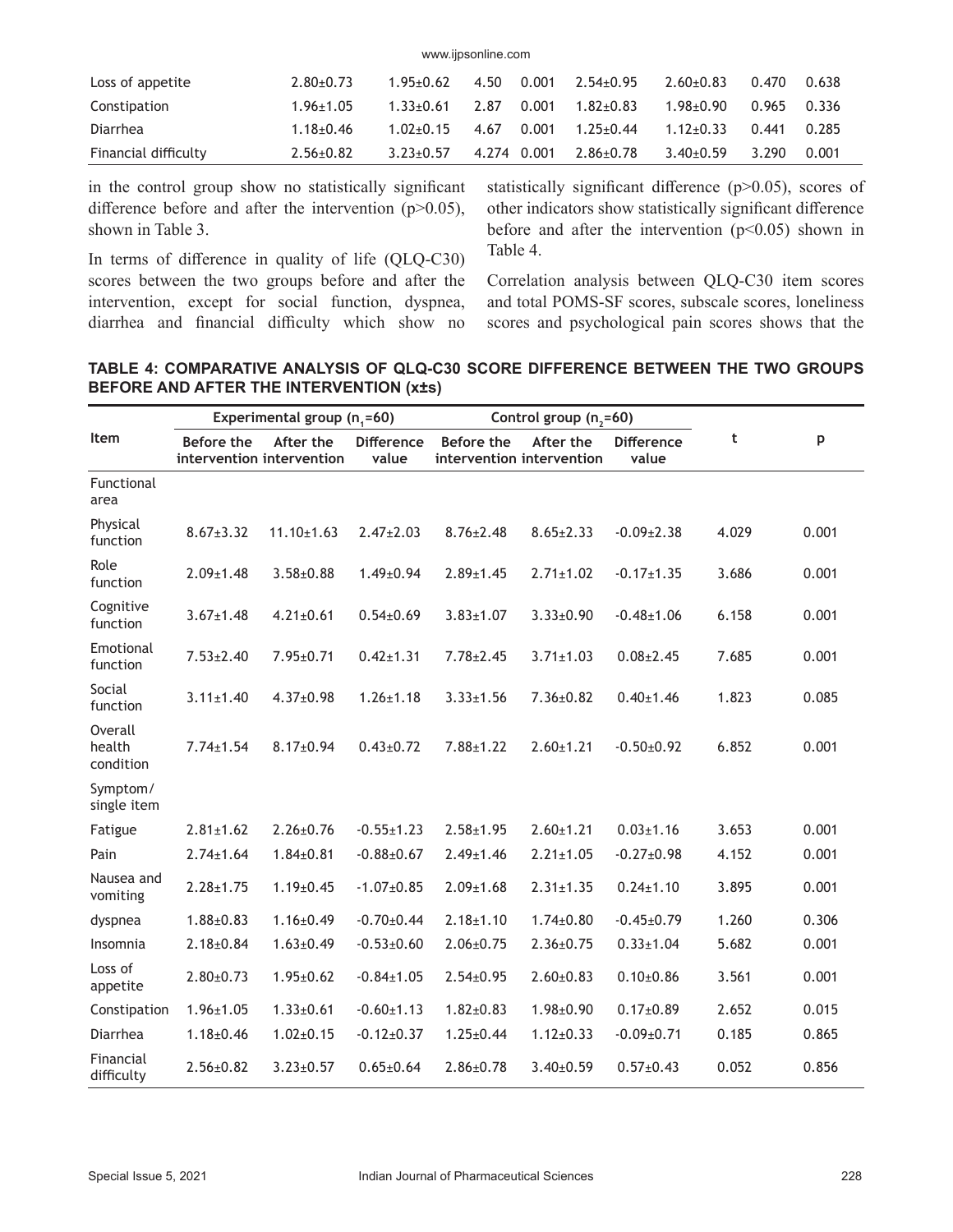| www.ijpsonline.com   |                 |                 |             |       |                 |                 |       |       |  |
|----------------------|-----------------|-----------------|-------------|-------|-----------------|-----------------|-------|-------|--|
| Loss of appetite     | $2.80+0.73$     | $1.95 \pm 0.62$ | 4.50        | 0.001 | $2.54 \pm 0.95$ | $2.60+0.83$     | 0.470 | 0.638 |  |
| Constipation         | $1.96 \pm 1.05$ | $1.33 \pm 0.61$ | 2.87        | 0.001 | $1.82 + 0.83$   | $1.98 \pm 0.90$ | 0.965 | 0.336 |  |
| Diarrhea             | $1.18 + 0.46$   | $1.02 + 0.15$   | 4.67        | 0.001 | $1.25 \pm 0.44$ | $1.12 + 0.33$   | 0.441 | 0.285 |  |
| Financial difficulty | $2.56 \pm 0.82$ | $3.23 \pm 0.57$ | 4.274 0.001 |       | $2.86 \pm 0.78$ | $3.40\pm0.59$   | 3.290 | 0.001 |  |

in the control group show no statistically significant difference before and after the intervention  $(p>0.05)$ , shown in Table 3.

In terms of difference in quality of life (QLQ-C30) scores between the two groups before and after the intervention, except for social function, dyspnea, diarrhea and financial difficulty which show no statistically significant difference (p>0.05), scores of other indicators show statistically significant difference before and after the intervention  $(p<0.05)$  shown in Table 4.

Correlation analysis between QLQ-C30 item scores and total POMS-SF scores, subscale scores, loneliness scores and psychological pain scores shows that the

## **TABLE 4: COMPARATIVE ANALYSIS OF QLQ-C30 SCORE DIFFERENCE BETWEEN THE TWO GROUPS BEFORE AND AFTER THE INTERVENTION (x±s)**

|                                | Experimental group $(n_1=60)$<br>Control group (n <sub>2</sub> =60) |                  |                            |                                         |                 |                            |       |       |
|--------------------------------|---------------------------------------------------------------------|------------------|----------------------------|-----------------------------------------|-----------------|----------------------------|-------|-------|
| Item                           | Before the<br>intervention intervention                             | After the        | <b>Difference</b><br>value | Before the<br>intervention intervention | After the       | <b>Difference</b><br>value | t     | p     |
| Functional<br>area             |                                                                     |                  |                            |                                         |                 |                            |       |       |
| Physical<br>function           | $8.67 \pm 3.32$                                                     | $11.10 \pm 1.63$ | $2.47 \pm 2.03$            | $8.76 \pm 2.48$                         | $8.65 \pm 2.33$ | $-0.09 \pm 2.38$           | 4.029 | 0.001 |
| Role<br>function               | $2.09 \pm 1.48$                                                     | $3.58 \pm 0.88$  | $1.49 \pm 0.94$            | $2.89 \pm 1.45$                         | $2.71 \pm 1.02$ | $-0.17 \pm 1.35$           | 3.686 | 0.001 |
| Cognitive<br>function          | $3.67 \pm 1.48$                                                     | $4.21 \pm 0.61$  | $0.54 \pm 0.69$            | $3.83 \pm 1.07$                         | $3.33 \pm 0.90$ | $-0.48 \pm 1.06$           | 6.158 | 0.001 |
| Emotional<br>function          | $7.53 \pm 2.40$                                                     | 7.95±0.71        | $0.42 \pm 1.31$            | $7.78 \pm 2.45$                         | $3.71 \pm 1.03$ | $0.08 \pm 2.45$            | 7.685 | 0.001 |
| Social<br>function             | $3.11 \pm 1.40$                                                     | $4.37 \pm 0.98$  | $1.26 \pm 1.18$            | $3.33 \pm 1.56$                         | $7.36 \pm 0.82$ | $0.40 \pm 1.46$            | 1.823 | 0.085 |
| Overall<br>health<br>condition | $7.74 \pm 1.54$                                                     | $8.17 \pm 0.94$  | $0.43 \pm 0.72$            | $7.88 \pm 1.22$                         | $2.60 \pm 1.21$ | $-0.50+0.92$               | 6.852 | 0.001 |
| Symptom/<br>single item        |                                                                     |                  |                            |                                         |                 |                            |       |       |
| Fatigue                        | $2.81 \pm 1.62$                                                     | $2.26 \pm 0.76$  | $-0.55 \pm 1.23$           | $2.58 \pm 1.95$                         | $2.60 \pm 1.21$ | $0.03 \pm 1.16$            | 3.653 | 0.001 |
| Pain                           | $2.74 \pm 1.64$                                                     | $1.84 \pm 0.81$  | $-0.88 + 0.67$             | $2.49 \pm 1.46$                         | $2.21 \pm 1.05$ | $-0.27 \pm 0.98$           | 4.152 | 0.001 |
| Nausea and<br>vomiting         | $2.28 \pm 1.75$                                                     | $1.19 \pm 0.45$  | $-1.07 + 0.85$             | $2.09 \pm 1.68$                         | $2.31 \pm 1.35$ | $0.24 \pm 1.10$            | 3.895 | 0.001 |
| dyspnea                        | $1.88 \pm 0.83$                                                     | $1.16 \pm 0.49$  | $-0.70+0.44$               | $2.18 \pm 1.10$                         | $1.74 \pm 0.80$ | $-0.45 \pm 0.79$           | 1.260 | 0.306 |
| Insomnia                       | $2.18 \pm 0.84$                                                     | $1.63 \pm 0.49$  | $-0.53 \pm 0.60$           | $2.06 \pm 0.75$                         | $2.36 \pm 0.75$ | $0.33 \pm 1.04$            | 5.682 | 0.001 |
| Loss of<br>appetite            | $2.80 \pm 0.73$                                                     | $1.95 \pm 0.62$  | $-0.84 \pm 1.05$           | $2.54 \pm 0.95$                         | $2.60 \pm 0.83$ | $0.10{\pm}0.86$            | 3.561 | 0.001 |
| Constipation                   | $1.96 \pm 1.05$                                                     | $1.33 \pm 0.61$  | $-0.60 \pm 1.13$           | $1.82 \pm 0.83$                         | $1.98 \pm 0.90$ | $0.17 \pm 0.89$            | 2.652 | 0.015 |
| Diarrhea                       | $1.18 \pm 0.46$                                                     | $1.02 \pm 0.15$  | $-0.12 \pm 0.37$           | $1.25 \pm 0.44$                         | $1.12 \pm 0.33$ | $-0.09 \pm 0.71$           | 0.185 | 0.865 |
| Financial<br>difficulty        | $2.56 \pm 0.82$                                                     | $3.23 \pm 0.57$  | $0.65 \pm 0.64$            | $2.86 \pm 0.78$                         | $3.40 \pm 0.59$ | $0.57 \pm 0.43$            | 0.052 | 0.856 |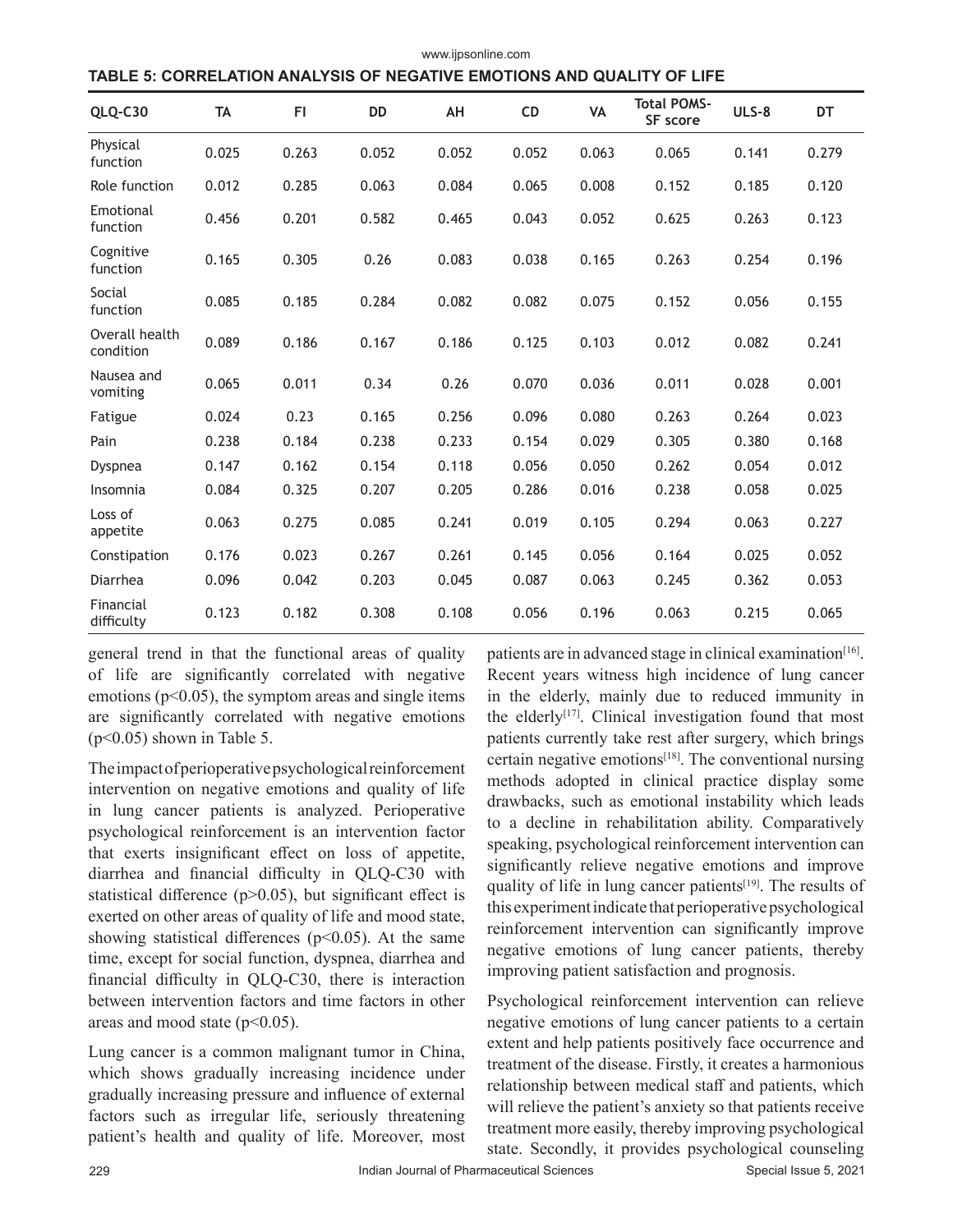| TABLE 5: CORRELATION ANALYSIS OF NEGATIVE EMOTIONS AND QUALITY OF LIFE |           |       |           |       |           |       |                                |       |       |  |  |  |
|------------------------------------------------------------------------|-----------|-------|-----------|-------|-----------|-------|--------------------------------|-------|-------|--|--|--|
| QLQ-C30                                                                | <b>TA</b> | FI.   | <b>DD</b> | AH    | <b>CD</b> | VA    | <b>Total POMS-</b><br>SF score | ULS-8 | DT    |  |  |  |
| Physical<br>function                                                   | 0.025     | 0.263 | 0.052     | 0.052 | 0.052     | 0.063 | 0.065                          | 0.141 | 0.279 |  |  |  |
| Role function                                                          | 0.012     | 0.285 | 0.063     | 0.084 | 0.065     | 0.008 | 0.152                          | 0.185 | 0.120 |  |  |  |
| Emotional<br>function                                                  | 0.456     | 0.201 | 0.582     | 0.465 | 0.043     | 0.052 | 0.625                          | 0.263 | 0.123 |  |  |  |
| Cognitive<br>function                                                  | 0.165     | 0.305 | 0.26      | 0.083 | 0.038     | 0.165 | 0.263                          | 0.254 | 0.196 |  |  |  |
| Social<br>function                                                     | 0.085     | 0.185 | 0.284     | 0.082 | 0.082     | 0.075 | 0.152                          | 0.056 | 0.155 |  |  |  |
| Overall health<br>condition                                            | 0.089     | 0.186 | 0.167     | 0.186 | 0.125     | 0.103 | 0.012                          | 0.082 | 0.241 |  |  |  |
| Nausea and<br>vomiting                                                 | 0.065     | 0.011 | 0.34      | 0.26  | 0.070     | 0.036 | 0.011                          | 0.028 | 0.001 |  |  |  |
| Fatigue                                                                | 0.024     | 0.23  | 0.165     | 0.256 | 0.096     | 0.080 | 0.263                          | 0.264 | 0.023 |  |  |  |
| Pain                                                                   | 0.238     | 0.184 | 0.238     | 0.233 | 0.154     | 0.029 | 0.305                          | 0.380 | 0.168 |  |  |  |
| Dyspnea                                                                | 0.147     | 0.162 | 0.154     | 0.118 | 0.056     | 0.050 | 0.262                          | 0.054 | 0.012 |  |  |  |
| Insomnia                                                               | 0.084     | 0.325 | 0.207     | 0.205 | 0.286     | 0.016 | 0.238                          | 0.058 | 0.025 |  |  |  |
| Loss of<br>appetite                                                    | 0.063     | 0.275 | 0.085     | 0.241 | 0.019     | 0.105 | 0.294                          | 0.063 | 0.227 |  |  |  |
| Constipation                                                           | 0.176     | 0.023 | 0.267     | 0.261 | 0.145     | 0.056 | 0.164                          | 0.025 | 0.052 |  |  |  |
| Diarrhea                                                               | 0.096     | 0.042 | 0.203     | 0.045 | 0.087     | 0.063 | 0.245                          | 0.362 | 0.053 |  |  |  |
| Financial<br>difficulty                                                | 0.123     | 0.182 | 0.308     | 0.108 | 0.056     | 0.196 | 0.063                          | 0.215 | 0.065 |  |  |  |

www.ijpsonline.com

general trend in that the functional areas of quality of life are significantly correlated with negative emotions ( $p<0.05$ ), the symptom areas and single items are significantly correlated with negative emotions  $(p<0.05)$  shown in Table 5.

The impact of perioperative psychological reinforcement intervention on negative emotions and quality of life in lung cancer patients is analyzed. Perioperative psychological reinforcement is an intervention factor that exerts insignificant effect on loss of appetite, diarrhea and financial difficulty in QLQ-C30 with statistical difference ( $p$  $>$ 0.05), but significant effect is exerted on other areas of quality of life and mood state, showing statistical differences ( $p$ <0.05). At the same time, except for social function, dyspnea, diarrhea and financial difficulty in QLQ-C30, there is interaction between intervention factors and time factors in other areas and mood state  $(p<0.05)$ .

Lung cancer is a common malignant tumor in China, which shows gradually increasing incidence under gradually increasing pressure and influence of external factors such as irregular life, seriously threatening patient's health and quality of life. Moreover, most

patients are in advanced stage in clinical examination $[16]$ . Recent years witness high incidence of lung cancer in the elderly, mainly due to reduced immunity in the elderly<sup>[17]</sup>. Clinical investigation found that most patients currently take rest after surgery, which brings certain negative emotions<sup>[18]</sup>. The conventional nursing methods adopted in clinical practice display some drawbacks, such as emotional instability which leads to a decline in rehabilitation ability. Comparatively speaking, psychological reinforcement intervention can significantly relieve negative emotions and improve quality of life in lung cancer patients<sup>[19]</sup>. The results of this experiment indicate that perioperative psychological reinforcement intervention can significantly improve negative emotions of lung cancer patients, thereby improving patient satisfaction and prognosis.

Psychological reinforcement intervention can relieve negative emotions of lung cancer patients to a certain extent and help patients positively face occurrence and treatment of the disease. Firstly, it creates a harmonious relationship between medical staff and patients, which will relieve the patient's anxiety so that patients receive treatment more easily, thereby improving psychological state. Secondly, it provides psychological counseling